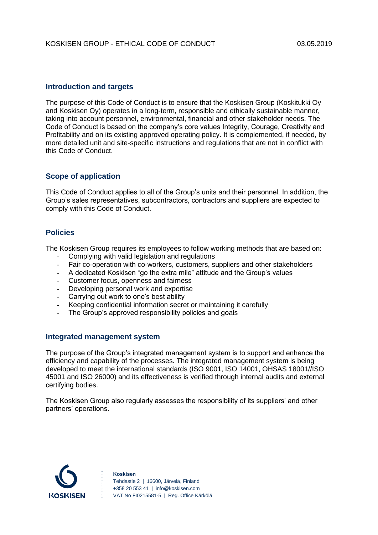#### **Introduction and targets**

The purpose of this Code of Conduct is to ensure that the Koskisen Group (Koskitukki Oy and Koskisen Oy) operates in a long-term, responsible and ethically sustainable manner, taking into account personnel, environmental, financial and other stakeholder needs. The Code of Conduct is based on the company's core values Integrity, Courage, Creativity and Profitability and on its existing approved operating policy. It is complemented, if needed, by more detailed unit and site-specific instructions and regulations that are not in conflict with this Code of Conduct.

#### **Scope of application**

This Code of Conduct applies to all of the Group's units and their personnel. In addition, the Group's sales representatives, subcontractors, contractors and suppliers are expected to comply with this Code of Conduct.

#### **Policies**

The Koskisen Group requires its employees to follow working methods that are based on:

- Complying with valid legislation and regulations
- Fair co-operation with co-workers, customers, suppliers and other stakeholders
- A dedicated Koskisen "go the extra mile" attitude and the Group's values
- Customer focus, openness and fairness
- Developing personal work and expertise
- Carrying out work to one's best ability
- Keeping confidential information secret or maintaining it carefully
- The Group's approved responsibility policies and goals

#### **Integrated management system**

The purpose of the Group's integrated management system is to support and enhance the efficiency and capability of the processes. The integrated management system is being developed to meet the international standards (ISO 9001, ISO 14001, OHSAS 18001//ISO 45001 and ISO 26000) and its effectiveness is verified through internal audits and external certifying bodies.

The Koskisen Group also regularly assesses the responsibility of its suppliers' and other partners' operations.

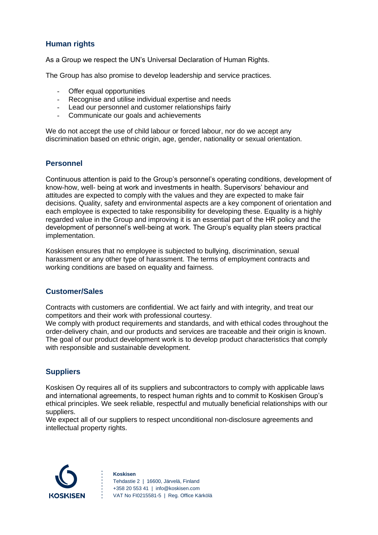# **Human rights**

As a Group we respect the UN's Universal Declaration of Human Rights.

The Group has also promise to develop leadership and service practices.

- Offer equal opportunities
- Recognise and utilise individual expertise and needs
- Lead our personnel and customer relationships fairly
- Communicate our goals and achievements

We do not accept the use of child labour or forced labour, nor do we accept any discrimination based on ethnic origin, age, gender, nationality or sexual orientation.

### **Personnel**

Continuous attention is paid to the Group's personnel's operating conditions, development of know-how, well- being at work and investments in health. Supervisors' behaviour and attitudes are expected to comply with the values and they are expected to make fair decisions. Quality, safety and environmental aspects are a key component of orientation and each employee is expected to take responsibility for developing these. Equality is a highly regarded value in the Group and improving it is an essential part of the HR policy and the development of personnel's well-being at work. The Group's equality plan steers practical implementation.

Koskisen ensures that no employee is subjected to bullying, discrimination, sexual harassment or any other type of harassment. The terms of employment contracts and working conditions are based on equality and fairness.

### **Customer/Sales**

Contracts with customers are confidential. We act fairly and with integrity, and treat our competitors and their work with professional courtesy.

We comply with product requirements and standards, and with ethical codes throughout the order-delivery chain, and our products and services are traceable and their origin is known. The goal of our product development work is to develop product characteristics that comply with responsible and sustainable development.

### **Suppliers**

Koskisen Oy requires all of its suppliers and subcontractors to comply with applicable laws and international agreements, to respect human rights and to commit to Koskisen Group's ethical principles. We seek reliable, respectful and mutually beneficial relationships with our suppliers.

We expect all of our suppliers to respect unconditional non-disclosure agreements and intellectual property rights.

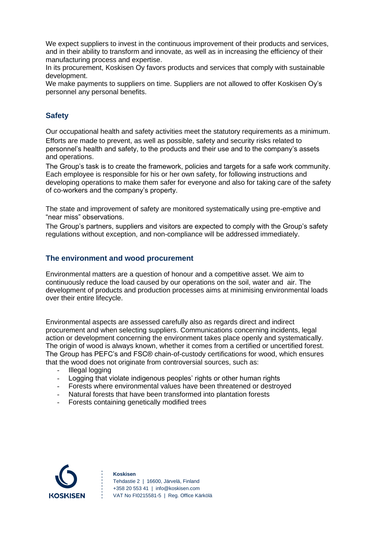We expect suppliers to invest in the continuous improvement of their products and services, and in their ability to transform and innovate, as well as in increasing the efficiency of their manufacturing process and expertise.

In its procurement, Koskisen Oy favors products and services that comply with sustainable development.

We make payments to suppliers on time. Suppliers are not allowed to offer Koskisen Oy's personnel any personal benefits.

# **Safety**

Our occupational health and safety activities meet the statutory requirements as a minimum. Efforts are made to prevent, as well as possible, safety and security risks related to personnel's health and safety, to the products and their use and to the company's assets and operations.

The Group's task is to create the framework, policies and targets for a safe work community. Each employee is responsible for his or her own safety, for following instructions and developing operations to make them safer for everyone and also for taking care of the safety of co-workers and the company's property.

The state and improvement of safety are monitored systematically using pre-emptive and "near miss" observations.

The Group's partners, suppliers and visitors are expected to comply with the Group's safety regulations without exception, and non-compliance will be addressed immediately.

# **The environment and wood procurement**

Environmental matters are a question of honour and a competitive asset. We aim to continuously reduce the load caused by our operations on the soil, water and air. The development of products and production processes aims at minimising environmental loads over their entire lifecycle.

Environmental aspects are assessed carefully also as regards direct and indirect procurement and when selecting suppliers. Communications concerning incidents, legal action or development concerning the environment takes place openly and systematically. The origin of wood is always known, whether it comes from a certified or uncertified forest. The Group has PEFC's and FSC® chain-of-custody certifications for wood, which ensures that the wood does not originate from controversial sources, such as:

- Illegal logging
- Logging that violate indigenous peoples' rights or other human rights
- Forests where environmental values have been threatened or destroyed
- Natural forests that have been transformed into plantation forests
- Forests containing genetically modified trees



**Koskisen** Tehdastie 2 | 16600, Järvelä, Finland +358 20 553 41 | info@koskisen.com VAT No FI0215581-5 | Reg. Office Kärkölä